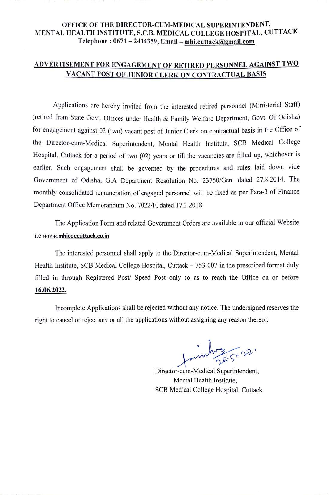# OFFICE OF THE DIRECTOR-CUM-MEDICAL SUPERINTENDENT, MENTAL HEALTH INSTITUTE, S.C.B. MEDICAL COLLEGE HOSPITAL, CUTTACK Telephone: 0671 - 2414359, Email - mhi.cuttack@gmail.com

# ADVERTISEMENT FOR ENGAGEMENT OF RETIRED PERSONNEL AGAINST TWO VACANT POST OF JUNIOR CLERK ON CONTRACTUAL BASIS

Applications are hereby invited from the interested retired personnel (Ministerial Staft) (retired from State Govt. Offices under Health & Family Welfare Department, Govt. Of Odisha) for engagement against 02 (two) vacant post of Junior Clerk on contractual basis in the Office ot the Director-cum-Medical Superintendent, Mental Health Institute, sCB Medical College Hospital. Cuttack for a period of two (02) years or till the vacancies are filled up, whichever is earlier. Such engagement shall be governed by the procedures and rules laid down vide Government of Odisha, G.A Department Resolution No. 23750/Gen. dated 27.8.2014. The monthly consolidated remuneration of engaged personnel will be fixed as per Para-3 of Finance Department Office Memorandum No. 7022/F, dated.17.3.2018.

The Application Form and related Government Orders are available in our official Website i.e www.mhicoecuttack.co.in

The interested personnel shall apply to the Director-cum-Medical Superintendent, Mental Health Institute, SCB Medical College Hospital, Cuttack  $-753007$  in the prescribed format duly filled in through Registered Post/ Speed Post only so as to reach the Office on or before 16.06.2022,

Incomplete Applications shall be rejected without any notice. The undersigned reserves the right to cancel or reject any or all the applications without assigning any reason thereof.

 $26.22$ Juinboy 5-22.

Director-cum-Medical Superintendent, Mental Health Institute, SCB Medical College Hospital, Cuttack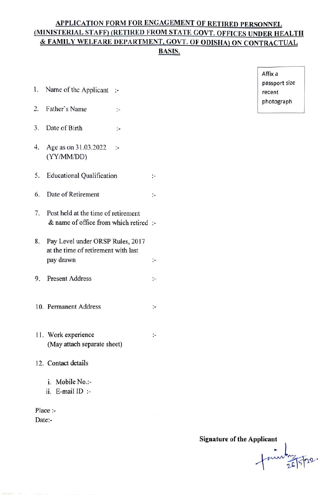# APPLICATION FORM FOR ENGAGEMENT OF RETIRED PERSONNEL (MINISTERIAL STAFF) (RETIRED FROM STATE GOVT. OFFICES UNDER HEALTH & FAMILY WELFARE DEPARTMENT, GOVT. OF ODISHA) ON CONTRACTUAL BASIS.

 $\ddot{ }$ 

 $\ddot{\phantom{1}}$ 

- 1. Name of the Applicant recent
- photograph 2 Father's Name
- 3. Date of Birth  $\ddot{\cdot}$
- 4. Age as on 31.03.2022  $\ddot{\cdot}$ (YYMM/DD)
- 5. Educational Qualification ÷.
- 6. Date of Retirement ÷.
- 7. Post held at the time of retirement & name of office from which retired
- 8. Pay Level under ORSP Rules, 2017 at the time of retirement with last pay drawm
- 9. Present Address  $\ddot{\phantom{1}}$
- 10. Permanent Address  $\ddot{\cdot}$
- 11. Work experience (May attach separate sheet)
- 12. Contact details
	- i. Mobile No.:
	- ii. E-mail ID

Place:-Date:

Affix a passport size

Signature of the Applicant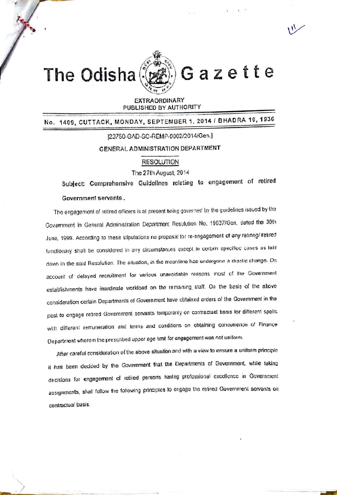

Gazette

EXTRAORDINARY PUBLISHED BY AUTHORITY

No. 1409, CUTTACK, MONDAY, SEPTEMBER 1, 2014 / BHADRA 10, 1936

## [23750-GAD-SC-REMP-0002/2014/Gen.]

# GENERAL ADMINISTRATION DEPARTMENT

# **RESOLUTION**

The 27th August, 2014

Subject: Comprehensive Guidelines relating to engagement of retired

#### Government servants.

The engagement of retired officers is at present being governed by the guidelines issued by the Government in General Administration Department Resolution No. 19637/Gen. dated the 30th June, 1999. According to these stipulations no proposal for re-engagement of any retiring/ retired functionary shall be considered in any circumstances except in certain specified cases as laid down in the said Resolution. The situation, in the meantime has undergone a drastic change. On account of delayed recruitment for various unavoidable reasons most of the Government establishments have inordinate workload on the remaining staff. On the basis of the above consideration certain Departments of Government have obtained orders of the Government in the pest to engage retired Government servants lemptranly on contractual basis for different spells with different remuneration and terms and conditions on obtaining concurrence of Finance Oepartment wherein the prescribed upper age timit for engagement was not uniform.

After careful consideration of the above situation and with a view to ensure a uniform principle it has been decided by the Government that the Departments of Government, while taking decisions for engagement of retired persons having professional excellence in Government assignments, shall follow the following principles to engage the retired Government servants on contractual basis.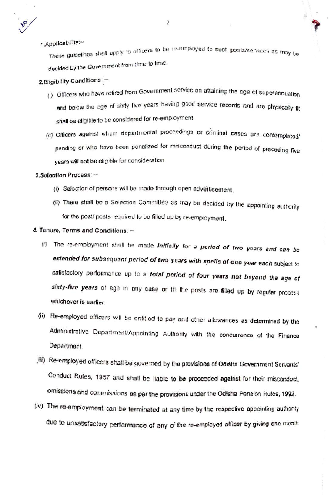$\sqrt{2}$ 

1.Applicability:~

. .<br>These guidelines shall apply to officers to be re-employed to such posts/services as may be decided by the Government from time to time.

2. Eligibility Conditions: -

- (i) Officers who have retired from Government service on attaining the age of superannuation and below the age of sixty five years having good service records and are physically fit shall be eligible to be considered for re-employment.
- (ii) Officers against whom departmental proceedings or criminal cases are contemplated/ pending or who have been penalized for misconduct during the period of preceding five years will not be eligible for consideration

# 3.Selection Process:-

- (i) Selection of persons will be made through open adveitisement.
- (ii) There shall be a Selection Committee as may be decided by the appointing authority for the post/ posts required to be filled up by re-employment.

## 4. Tenure, Terms and Conditions: -

- (i) The re-employment shall be made initially for a period of two years and can be extended for subsequent period of two years with spells of one year each subject to satisfactory performance up to a total period of four years not beyond the age of sixty-five years of age in any case or till the posts are filled up by regular process whichever is earlier.
- (ii) Re-employed officers will be entitled to pay and other allowances as determined by the Administrative Department/Appointing Authority with the concurrence of the Finance Department.
- (iii) Re-employed officers shall be governed by the provisions of Odisha Government Servants' Conduct Rules, 1957 and shall be liable to be proceeded against for their misconduct, omissions and commissions as per the provisions under the Odisha Pension Rules, 1992.
- (iv) The re-employment can be terminated at any time by the respective appointing authority due to unsatisfactory performance of any of the re-employed officer by giving one month

 $\mathbf{Z}$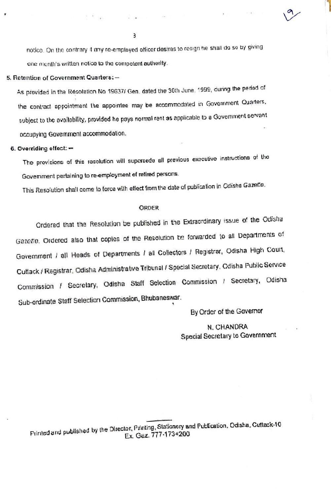notice. On the contrary it any re-employed officer destres to resign he shall do so by giving one menth's written notice to the competent authority.

#### 5. Retention of Government Quarters: -

As provided in the Resolution No 19637/ Gen. dated the 30th June, 1999, during the period of the contract appointment the appointee may be accommodated in Government Quarters, subject to the availability, provided he pays normal rent as applicable to a Government servant occupying Government accommodation.

## 6. Overriding effect: -

The provisions of this resolution will supersede all previous executive instructions of the Government pertaining to re-employment of retired persons.

This Resolution shall come to force with effect from the date of publication in Odisha Gazette.

#### **ORDER**

Ordered that the Resolution be published in the Extraordinary issue of the Odisha Gazette. Ordered also that copies of the Resolution be forwarded to all Departments of Government / all Heads of Departments / all Collectors / Registrar, Odisha High Court, Cuttack / Registrar, Odisha Administrative Tribunal / Special Secretary, Odisha Public Service Commission / Secretary, Odisha Staff Selection Commission / Secretary, Odisha Sub-ordinate Staff Selection Commission, Bhubaneswar.

By Order of the Governor

# N. CHANDRA Special Secretary to Government

3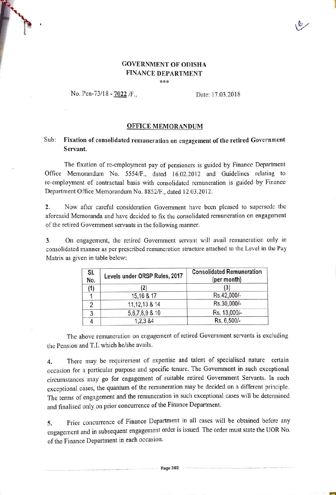# GOVERNMENT OF oDISHA FINANCE DEPARTMENT \*\*\*

## No. Pen-73/18 - 7022 /F., Date: 17.03.2018

#### OFFICE MEMORANDUM

# Sub: Fixation of consolidated remuneration on engagement of the retired Government Servant.

The fixation of re-employment pay of pensioners is guided by Finance Department Office Memorandum No. 5554/F., dated 16.02.2012 and Guidelines relating to re-cmployment of contractual basis with consolidated remuneration is guided by Finance Department Office Memorandum No. 8852/F., dated 12.03.2012.

Now after careful consideration Government have been pleased to supersede the aforesaid Memoranda and have decided to fix the consolidated remuneration on engagement 2. of the retired Government servants in the following manner.

On engagement, the retired Government servant will avail remuneration only in consolidated manner as per prescribed remuneration structure attached to the Level in the Pay 3. Matrix as given in table below:

| SI.<br>No. | Levels under ORSP Rules, 2017 | <b>Consolidated Remuneration</b><br>(per month) |
|------------|-------------------------------|-------------------------------------------------|
| (1)        | (2)                           | (3)                                             |
|            | 15,16 & 17                    | Rs.42,000/-                                     |
| 2          | 11, 12, 13 & 14               | Rs.30,000/-                                     |
| 3          | 5, 6, 7, 8, 9 & 10            | Rs. 13,000/-                                    |
|            | 1,2,3 &4                      | Rs. 6,500/-                                     |

The above remuneration on engagement of retired Government servants is excluding the Pension and T.I. which he/she avails.

4. There may be requirement of expertise and talent of specialised nature certain occasion for a particular purpose and specific tenure. The Government in such exceptional circumstances may go for engagement of suitable retired Government Servants. In such exceptional cases, the quantum of the remuneration may be decided on a different principle. The terms of engagement and the remuneration in such exceptional cases will be determined and finalised only on prior concurrence of the Finance Department.

Prior concurrence of Finance Department in all cases will be obtained before any engagement and in subsequent engagement order is issued. The order must state the UOR No. of the Finance Department in each occasion. 5.